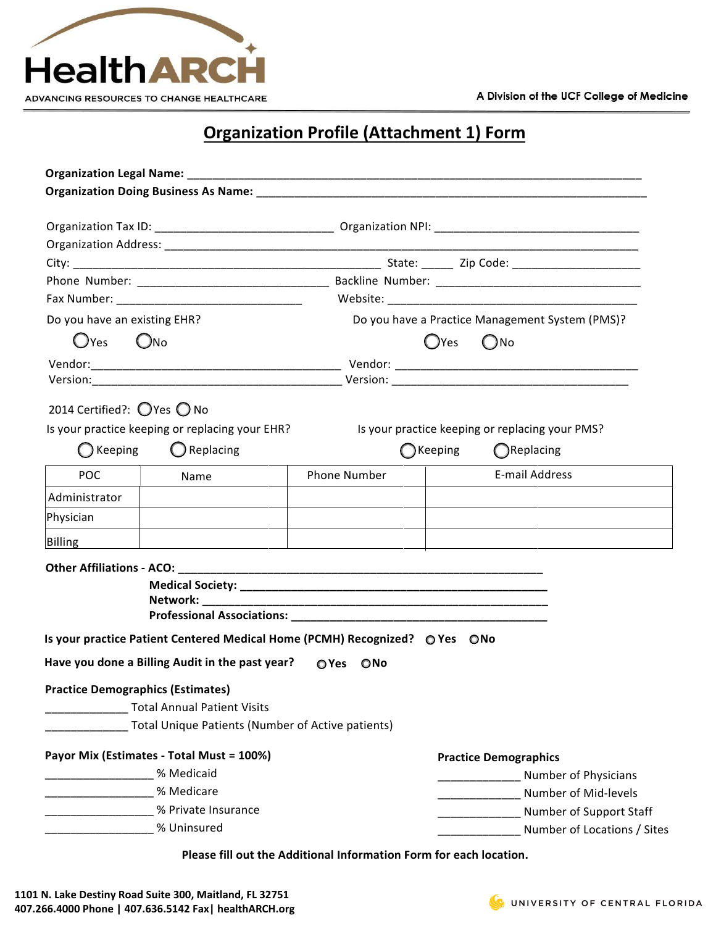

## **Organization Profile (Attachment 1) Form**

|                                 |                                                                             |              | Organization Doing Business As Name: Name: Name and Secretary Contractor Contractor Contractor Contractor Contractor Contractor Contractor Contractor Contractor Contractor Contractor Contractor Contractor Contractor Contra |
|---------------------------------|-----------------------------------------------------------------------------|--------------|--------------------------------------------------------------------------------------------------------------------------------------------------------------------------------------------------------------------------------|
|                                 |                                                                             |              |                                                                                                                                                                                                                                |
|                                 |                                                                             |              |                                                                                                                                                                                                                                |
|                                 |                                                                             |              |                                                                                                                                                                                                                                |
|                                 |                                                                             |              |                                                                                                                                                                                                                                |
|                                 | Fax Number: ___________________________________                             |              |                                                                                                                                                                                                                                |
| Do you have an existing EHR?    |                                                                             |              | Do you have a Practice Management System (PMS)?                                                                                                                                                                                |
| $\bigcirc$ Yes<br>$\bigcirc$ No |                                                                             |              | <b>O</b> Yes<br>$\bigcirc$ No                                                                                                                                                                                                  |
|                                 |                                                                             |              |                                                                                                                                                                                                                                |
|                                 |                                                                             |              |                                                                                                                                                                                                                                |
| 2014 Certified?: ◯ Yes ◯ No     |                                                                             |              |                                                                                                                                                                                                                                |
|                                 | Is your practice keeping or replacing your EHR?                             |              | Is your practice keeping or replacing your PMS?                                                                                                                                                                                |
|                                 |                                                                             |              |                                                                                                                                                                                                                                |
| $\bigcirc$ Keeping              | $\bigcirc$ Replacing                                                        |              | $\bigcirc$ Keeping<br>$\bigcirc$ Replacing                                                                                                                                                                                     |
| <b>POC</b>                      | Name                                                                        | Phone Number | E-mail Address                                                                                                                                                                                                                 |
| Administrator                   |                                                                             |              |                                                                                                                                                                                                                                |
| Physician                       |                                                                             |              |                                                                                                                                                                                                                                |
| Billing                         |                                                                             |              |                                                                                                                                                                                                                                |
|                                 |                                                                             |              |                                                                                                                                                                                                                                |
|                                 |                                                                             |              |                                                                                                                                                                                                                                |
|                                 |                                                                             |              |                                                                                                                                                                                                                                |
|                                 |                                                                             |              |                                                                                                                                                                                                                                |
|                                 | Is your practice Patient Centered Medical Home (PCMH) Recognized? ⊙ Yes ONo |              |                                                                                                                                                                                                                                |
|                                 | Have you done a Billing Audit in the past year?                             | OYes ONo     |                                                                                                                                                                                                                                |
|                                 | <b>Practice Demographics (Estimates)</b>                                    |              |                                                                                                                                                                                                                                |
|                                 | <b>Total Annual Patient Visits</b>                                          |              |                                                                                                                                                                                                                                |
|                                 | Total Unique Patients (Number of Active patients)                           |              |                                                                                                                                                                                                                                |
|                                 | Payor Mix (Estimates - Total Must = 100%)                                   |              | <b>Practice Demographics</b>                                                                                                                                                                                                   |
|                                 | % Medicaid                                                                  |              | Number of Physicians                                                                                                                                                                                                           |
|                                 | % Medicare                                                                  |              | Number of Mid-levels                                                                                                                                                                                                           |
|                                 | % Private Insurance                                                         |              | Number of Support Staff                                                                                                                                                                                                        |
|                                 | % Uninsured                                                                 |              | Number of Locations / Sites                                                                                                                                                                                                    |
|                                 |                                                                             |              |                                                                                                                                                                                                                                |

**Please fill out the Additional Information Form for each location.** 

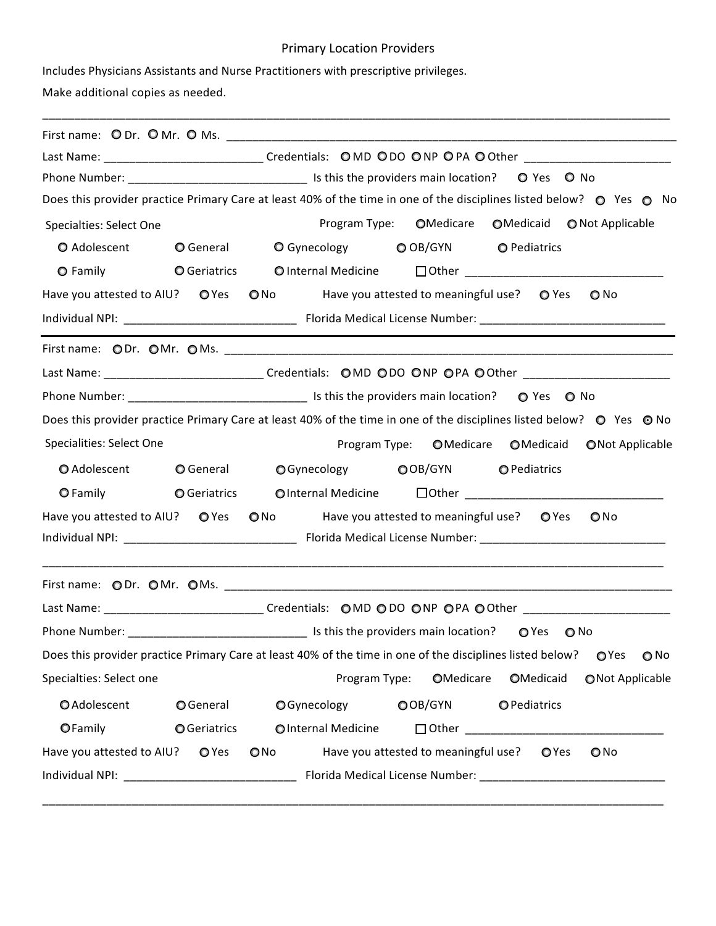## Primary Location Providers

Includes Physicians Assistants and Nurse Practitioners with prescriptive privileges.

Make additional copies as needed.

|                                 |                     | Last Name: __________________________________Credentials: OMD ODO ONP OPA OOther ________________________                                                                                                                     |  |  |  |
|---------------------------------|---------------------|-------------------------------------------------------------------------------------------------------------------------------------------------------------------------------------------------------------------------------|--|--|--|
|                                 |                     | Does this provider practice Primary Care at least 40% of the time in one of the disciplines listed below? © Yes © No                                                                                                          |  |  |  |
|                                 |                     |                                                                                                                                                                                                                               |  |  |  |
| Specialties: Select One         |                     | OMedicare<br>Program Type:<br>○Medicaid ● Not Applicable                                                                                                                                                                      |  |  |  |
| O Adolescent                    |                     | O General O Gynecology O OB/GYN<br><b>O</b> Pediatrics                                                                                                                                                                        |  |  |  |
|                                 |                     | ○ Family Comparatrics Conternal Medicine Dother ________________________________                                                                                                                                              |  |  |  |
|                                 |                     | Have you attested to AIU? O Yes O No Have you attested to meaningful use? O Yes<br>$\bigcirc$ No                                                                                                                              |  |  |  |
|                                 |                     |                                                                                                                                                                                                                               |  |  |  |
|                                 |                     |                                                                                                                                                                                                                               |  |  |  |
|                                 |                     | Last Name: _______________________________Credentials: OMD ODO ONP OPA OOther ______________________                                                                                                                          |  |  |  |
|                                 |                     |                                                                                                                                                                                                                               |  |  |  |
|                                 |                     | Does this provider practice Primary Care at least 40% of the time in one of the disciplines listed below? ○ Yes ⊙ No                                                                                                          |  |  |  |
| Specialities: Select One        |                     | Program Type: OMedicare OMedicaid<br><b>ONot Applicable</b>                                                                                                                                                                   |  |  |  |
| O Adolescent                    | $\bigcirc$ General  | O Gynecology O OB/GYN O Pediatrics                                                                                                                                                                                            |  |  |  |
| O Family                        | <b>O</b> Geriatrics | ○Internal Medicine レントリングのコントレームのコントレームのコントレームのコントレームのコントレームのコントレームのコントレームのコントレームのコントレームのコントレームのコントレームのコントレームのコントレームのコントレームのコントレームのコントレームのコントレームのコントレームのコントレームのコントレームのコントレームのコントリングのコントリングのコントリングのコントリングのコントリングのコントリングのコントリング |  |  |  |
|                                 |                     | Have you attested to AIU? O Yes O No Have you attested to meaningful use? O Yes<br>$\bigcirc$ No                                                                                                                              |  |  |  |
|                                 |                     |                                                                                                                                                                                                                               |  |  |  |
|                                 |                     | Last Name: _______________________________Credentials: OMD ODO ONP OPA OOther ______________________                                                                                                                          |  |  |  |
| Phone Number:                   |                     |                                                                                                                                                                                                                               |  |  |  |
|                                 |                     | Does this provider practice Primary Care at least 40% of the time in one of the disciplines listed below?<br>OYes<br>$\bigcirc$ No                                                                                            |  |  |  |
| Specialties: Select one         |                     | OMedicare<br>OMedicaid<br>Program Type:<br>ONot Applicable                                                                                                                                                                    |  |  |  |
| OAdolescent                     | <b>O</b> General    | OGynecology<br>OOB/GYN<br><b>O</b> Pediatrics                                                                                                                                                                                 |  |  |  |
| OFamily                         | <b>O</b> Geriatrics | OInternal Medicine                                                                                                                                                                                                            |  |  |  |
|                                 |                     |                                                                                                                                                                                                                               |  |  |  |
| Have you attested to AIU? O Yes |                     | Have you attested to meaningful use?<br>$\bigcirc$ No<br>OYes<br>QNO                                                                                                                                                          |  |  |  |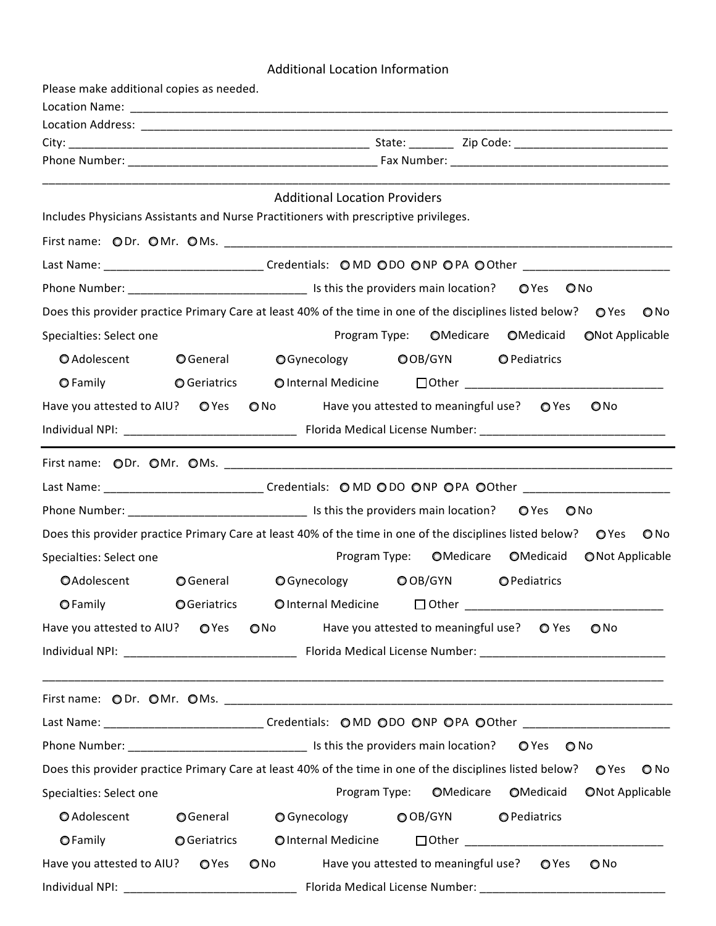## Additional Location Information

| Please make additional copies as needed. |                     |                                                                                                                                  |  |  |  |  |
|------------------------------------------|---------------------|----------------------------------------------------------------------------------------------------------------------------------|--|--|--|--|
|                                          |                     |                                                                                                                                  |  |  |  |  |
|                                          |                     |                                                                                                                                  |  |  |  |  |
|                                          |                     |                                                                                                                                  |  |  |  |  |
|                                          |                     |                                                                                                                                  |  |  |  |  |
|                                          |                     | <b>Additional Location Providers</b>                                                                                             |  |  |  |  |
|                                          |                     | Includes Physicians Assistants and Nurse Practitioners with prescriptive privileges.                                             |  |  |  |  |
|                                          |                     |                                                                                                                                  |  |  |  |  |
|                                          |                     | Last Name: _______________________________Credentials: OMD ODO ONP OPA OOther ______________________                             |  |  |  |  |
|                                          |                     | $\bigcirc$ No                                                                                                                    |  |  |  |  |
|                                          |                     | Does this provider practice Primary Care at least 40% of the time in one of the disciplines listed below? O Yes<br>$\bigcirc$ No |  |  |  |  |
| Specialties: Select one                  |                     | Program Type: OMedicare OMedicaid<br><b>ONot Applicable</b>                                                                      |  |  |  |  |
| O Adolescent                             | <b>O</b> General    | <b>○</b> Gynecology<br>$\bigcirc$ OB/GYN<br>O Pediatrics                                                                         |  |  |  |  |
| <b>O</b> Family                          | <b>○</b> Geriatrics | O Internal Medicine                                                                                                              |  |  |  |  |
|                                          |                     | Have you attested to AIU? O Yes O No Have you attested to meaningful use? O Yes<br>ONo                                           |  |  |  |  |
|                                          |                     |                                                                                                                                  |  |  |  |  |
|                                          |                     |                                                                                                                                  |  |  |  |  |
|                                          |                     | Last Name: ____________________________Credentials: O MD O DO ONP OPA OOther ______________________                              |  |  |  |  |
|                                          |                     |                                                                                                                                  |  |  |  |  |
|                                          |                     | Does this provider practice Primary Care at least 40% of the time in one of the disciplines listed below? ○ Yes<br>$\bigcirc$ No |  |  |  |  |
| Specialties: Select one                  |                     | Program Type:<br>OMedicare<br>OMedicaid<br>ONot Applicable                                                                       |  |  |  |  |
| OAdolescent                              | <b>O</b> General    | $\bigcirc$ Gynecology<br>OOB/GYN<br><b>O</b> Pediatrics                                                                          |  |  |  |  |
|                                          |                     | OFamily OGeriatrics OInternal Medicine □ Other _________________________________                                                 |  |  |  |  |
| Have you attested to AIU? O Yes          |                     | Have you attested to meaningful use?  O Yes<br>$\bigcirc$ No $\bigcirc$<br>$\bigcirc$ No                                         |  |  |  |  |
|                                          |                     |                                                                                                                                  |  |  |  |  |
|                                          |                     | <u> 1989 - Johann Harry Harry Harry Harry Harry Harry Harry Harry Harry Harry Harry Harry Harry Harry Harry Harry</u>            |  |  |  |  |
|                                          |                     |                                                                                                                                  |  |  |  |  |
|                                          |                     | Last Name: ________________________________Credentials: OMD ODO ONP OPA OOther _____________________                             |  |  |  |  |
|                                          |                     | $O$ No                                                                                                                           |  |  |  |  |
|                                          |                     | Does this provider practice Primary Care at least 40% of the time in one of the disciplines listed below? OYes ONo               |  |  |  |  |
| Specialties: Select one                  |                     | Program Type: OMedicare OMedicaid<br><b>ONot Applicable</b>                                                                      |  |  |  |  |
| O Adolescent                             | OGeneral            | O Gynecology<br>$\bigcirc$ OB/GYN<br>O Pediatrics                                                                                |  |  |  |  |
| <b>OFamily</b>                           | <b>O</b> Geriatrics | OInternal Medicine                                                                                                               |  |  |  |  |
| Have you attested to AIU? O Yes          |                     | Have you attested to meaningful use?<br>$\bigcirc$ No<br>$O$ Yes<br>O No                                                         |  |  |  |  |
|                                          |                     |                                                                                                                                  |  |  |  |  |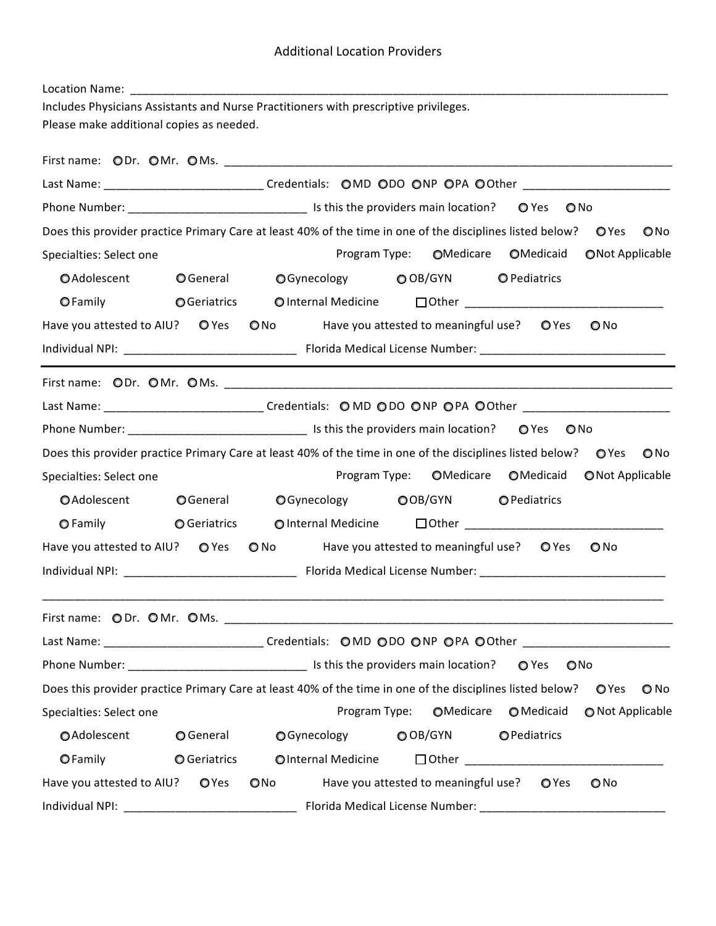| Location Name:                                                                       |                     |                                                                                                                                    |  |  |  |  |
|--------------------------------------------------------------------------------------|---------------------|------------------------------------------------------------------------------------------------------------------------------------|--|--|--|--|
| Includes Physicians Assistants and Nurse Practitioners with prescriptive privileges. |                     |                                                                                                                                    |  |  |  |  |
| Please make additional copies as needed.                                             |                     |                                                                                                                                    |  |  |  |  |
|                                                                                      |                     |                                                                                                                                    |  |  |  |  |
|                                                                                      |                     | Last Name: _________________________________Credentials: OMD ODO ONP OPA OOther _________________________                          |  |  |  |  |
|                                                                                      |                     |                                                                                                                                    |  |  |  |  |
|                                                                                      |                     | Does this provider practice Primary Care at least 40% of the time in one of the disciplines listed below? ○ Yes<br>$\bigcirc$ No   |  |  |  |  |
| Specialties: Select one                                                              |                     | <b>O</b> Medicare<br>Program Type:<br>OMedicaid<br>ONot Applicable                                                                 |  |  |  |  |
| OAdolescent                                                                          | <b>O</b> General    | OGynecology OOB/GYN<br><b>O</b> Pediatrics                                                                                         |  |  |  |  |
| <b>O</b> Family                                                                      |                     |                                                                                                                                    |  |  |  |  |
|                                                                                      |                     | Have you attested to AIU? O Yes O No Have you attested to meaningful use? O Yes<br>O No                                            |  |  |  |  |
|                                                                                      |                     |                                                                                                                                    |  |  |  |  |
|                                                                                      |                     |                                                                                                                                    |  |  |  |  |
|                                                                                      |                     | Last Name: __________________________________Credentials: OMD ODO ONP OPA OOther ________________________                          |  |  |  |  |
|                                                                                      |                     |                                                                                                                                    |  |  |  |  |
|                                                                                      |                     | Does this provider practice Primary Care at least 40% of the time in one of the disciplines listed below? OYes<br>ONo              |  |  |  |  |
| Specialties: Select one                                                              |                     | Program Type:<br>OMedicare<br>OMedicaid ONot Applicable                                                                            |  |  |  |  |
| OAdolescent                                                                          | <b>O</b> General    | OGynecology OOB/GYN OPediatrics                                                                                                    |  |  |  |  |
| <b>O</b> Family                                                                      | <b>○</b> Geriatrics |                                                                                                                                    |  |  |  |  |
|                                                                                      |                     | Have you attested to AIU? O Yes O No Have you attested to meaningful use? O Yes<br>$\bigcirc$ No                                   |  |  |  |  |
|                                                                                      |                     |                                                                                                                                    |  |  |  |  |
|                                                                                      |                     |                                                                                                                                    |  |  |  |  |
|                                                                                      |                     |                                                                                                                                    |  |  |  |  |
|                                                                                      |                     | Last Name: ________________________________Credentials: OMD ODO ONP OPA OOther _____________________                               |  |  |  |  |
|                                                                                      |                     | <b>O</b> Yes<br>ONO                                                                                                                |  |  |  |  |
|                                                                                      |                     | Does this provider practice Primary Care at least 40% of the time in one of the disciplines listed below?<br>OYes<br>$\bigcirc$ No |  |  |  |  |
| Specialties: Select one                                                              |                     | OMedicare<br>Program Type:<br>O Medicaid<br>O Not Applicable                                                                       |  |  |  |  |
| OAdolescent                                                                          | <b>O</b> General    | <b>O</b> Gynecology<br>O OB/GYN<br><b>O</b> Pediatrics                                                                             |  |  |  |  |
| <b>OFamily</b>                                                                       | <b>O</b> Geriatrics | OInternal Medicine<br>□ Other ____________________________                                                                         |  |  |  |  |
| Have you attested to AIU?                                                            | OYes                | Have you attested to meaningful use?<br>$\bigcirc$ No<br><b>O</b> Yes<br>QNO                                                       |  |  |  |  |
| Individual NPI:                                                                      |                     | Florida Medical License Number:                                                                                                    |  |  |  |  |